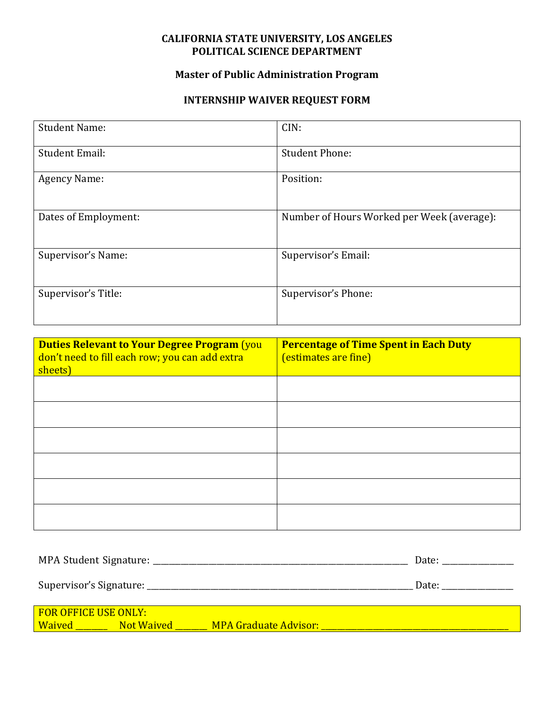## **CALIFORNIA STATE UNIVERSITY, LOS ANGELES POLITICAL SCIENCE DEPARTMENT**

## **Master of Public Administration Program**

## **INTERNSHIP WAIVER REQUEST FORM**

| <b>Student Name:</b>  | CIN:                                       |  |
|-----------------------|--------------------------------------------|--|
| <b>Student Email:</b> | <b>Student Phone:</b>                      |  |
| <b>Agency Name:</b>   | Position:                                  |  |
| Dates of Employment:  | Number of Hours Worked per Week (average): |  |
| Supervisor's Name:    | Supervisor's Email:                        |  |
| Supervisor's Title:   | Supervisor's Phone:                        |  |

| <b>Duties Relevant to Your Degree Program (you</b><br>don't need to fill each row; you can add extra<br>sheets) | <b>Percentage of Time Spent in Each Duty</b><br>(estimates are fine) |
|-----------------------------------------------------------------------------------------------------------------|----------------------------------------------------------------------|
|                                                                                                                 |                                                                      |
|                                                                                                                 |                                                                      |
|                                                                                                                 |                                                                      |
|                                                                                                                 |                                                                      |
|                                                                                                                 |                                                                      |
|                                                                                                                 |                                                                      |

| MPA Student Signature:                       |            |                       | Date: |
|----------------------------------------------|------------|-----------------------|-------|
|                                              |            |                       | Date: |
| <b>FOR OFFICE USE ONLY:</b><br><b>Waived</b> | Not Waived | MPA Graduate Advisor: |       |